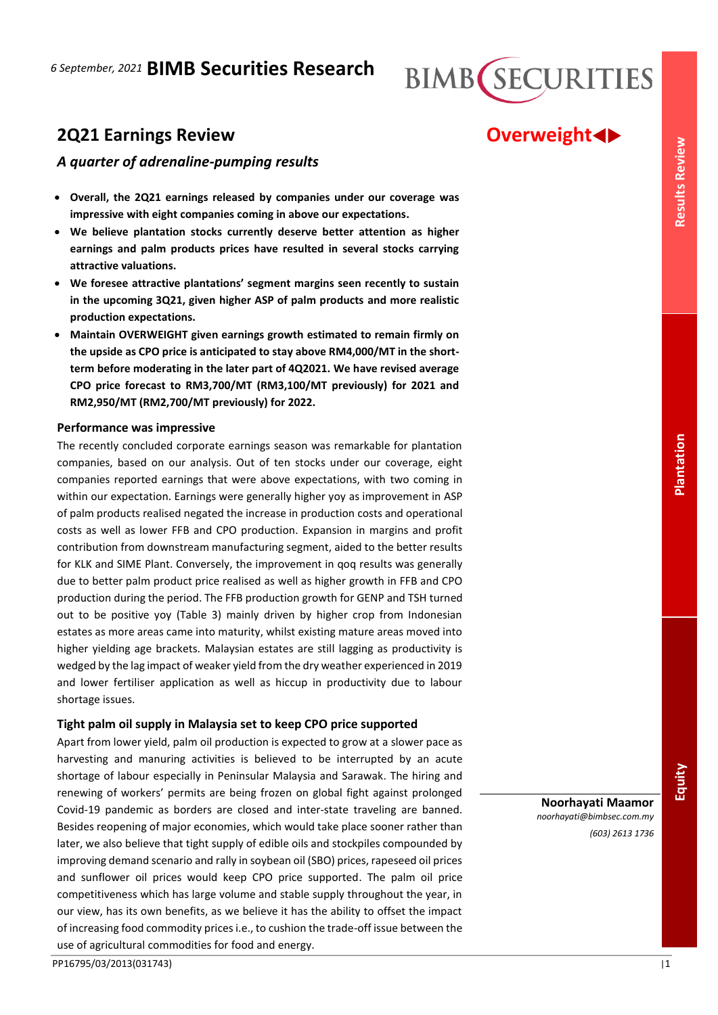

# **2Q21 Earnings Review <b>COVER EXECUTE:** COVER POWER AND **Overweight**

# *A quarter of adrenaline-pumping results*

- **Overall, the 2Q21 earnings released by companies under our coverage was impressive with eight companies coming in above our expectations.**
- **We believe plantation stocks currently deserve better attention as higher earnings and palm products prices have resulted in several stocks carrying attractive valuations.**
- **We foresee attractive plantations' segment margins seen recently to sustain in the upcoming 3Q21, given higher ASP of palm products and more realistic production expectations.**
- **Maintain OVERWEIGHT given earnings growth estimated to remain firmly on the upside as CPO price is anticipated to stay above RM4,000/MT in the shortterm before moderating in the later part of 4Q2021. We have revised average CPO price forecast to RM3,700/MT (RM3,100/MT previously) for 2021 and RM2,950/MT (RM2,700/MT previously) for 2022.**

## **Performance was impressive**

The recently concluded corporate earnings season was remarkable for plantation companies, based on our analysis. Out of ten stocks under our coverage, eight companies reported earnings that were above expectations, with two coming in within our expectation. Earnings were generally higher yoy as improvement in ASP of palm products realised negated the increase in production costs and operational costs as well as lower FFB and CPO production. Expansion in margins and profit contribution from downstream manufacturing segment, aided to the better results for KLK and SIME Plant. Conversely, the improvement in qoq results was generally due to better palm product price realised as well as higher growth in FFB and CPO production during the period. The FFB production growth for GENP and TSH turned out to be positive yoy (Table 3) mainly driven by higher crop from Indonesian estates as more areas came into maturity, whilst existing mature areas moved into higher yielding age brackets. Malaysian estates are still lagging as productivity is wedged by the lag impact of weaker yield from the dry weather experienced in 2019 and lower fertiliser application as well as hiccup in productivity due to labour shortage issues.

# **Tight palm oil supply in Malaysia set to keep CPO price supported**

Apart from lower yield, palm oil production is expected to grow at a slower pace as harvesting and manuring activities is believed to be interrupted by an acute shortage of labour especially in Peninsular Malaysia and Sarawak. The hiring and renewing of workers' permits are being frozen on global fight against prolonged Covid-19 pandemic as borders are closed and inter-state traveling are banned. Besides reopening of major economies, which would take place sooner rather than later, we also believe that tight supply of edible oils and stockpiles compounded by improving demand scenario and rally in soybean oil (SBO) prices, rapeseed oil prices and sunflower oil prices would keep CPO price supported. The palm oil price competitiveness which has large volume and stable supply throughout the year, in our view, has its own benefits, as we believe it has the ability to offset the impact of increasing food commodity prices i.e., to cushion the trade-off issue between the use of agricultural commodities for food and energy.

**Noorhayati Maamor** *noorhayati@bimbsec.com.my*

*(603) 2613 1736*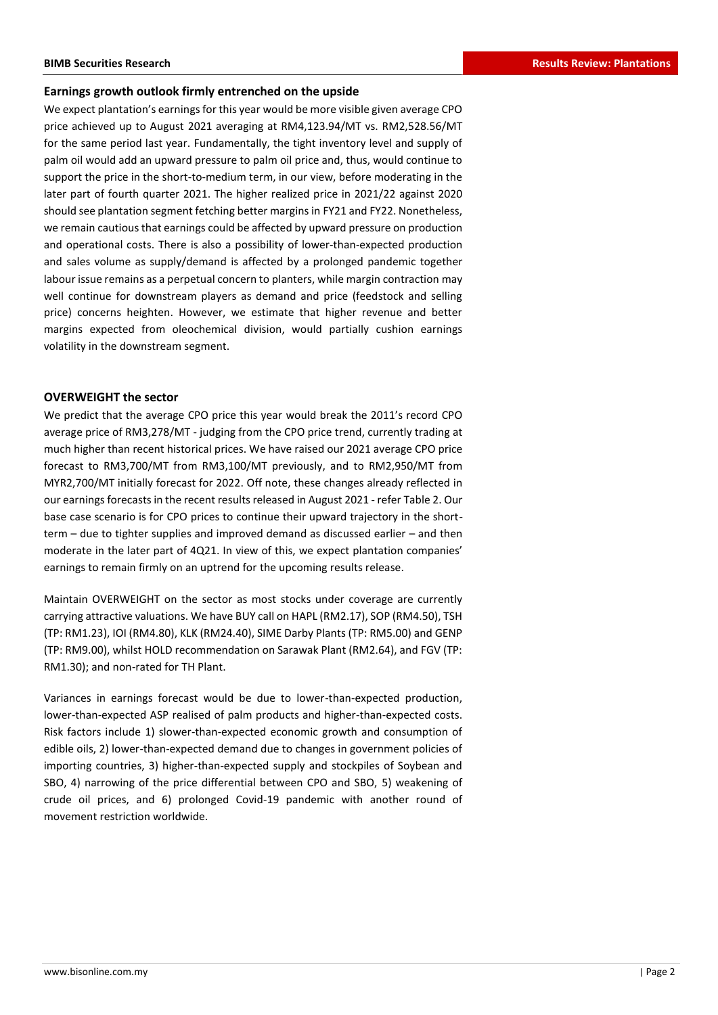### **Earnings growth outlook firmly entrenched on the upside**

We expect plantation's earnings for this year would be more visible given average CPO price achieved up to August 2021 averaging at RM4,123.94/MT vs. RM2,528.56/MT for the same period last year. Fundamentally, the tight inventory level and supply of palm oil would add an upward pressure to palm oil price and, thus, would continue to support the price in the short-to-medium term, in our view, before moderating in the later part of fourth quarter 2021. The higher realized price in 2021/22 against 2020 should see plantation segment fetching better margins in FY21 and FY22. Nonetheless, we remain cautious that earnings could be affected by upward pressure on production and operational costs. There is also a possibility of lower-than-expected production and sales volume as supply/demand is affected by a prolonged pandemic together labour issue remains as a perpetual concern to planters, while margin contraction may well continue for downstream players as demand and price (feedstock and selling price) concerns heighten. However, we estimate that higher revenue and better margins expected from oleochemical division, would partially cushion earnings volatility in the downstream segment.

### **OVERWEIGHT the sector**

We predict that the average CPO price this year would break the 2011's record CPO average price of RM3,278/MT - judging from the CPO price trend, currently trading at much higher than recent historical prices. We have raised our 2021 average CPO price forecast to RM3,700/MT from RM3,100/MT previously, and to RM2,950/MT from MYR2,700/MT initially forecast for 2022. Off note, these changes already reflected in our earningsforecasts in the recent results released in August 2021 - refer Table 2. Our base case scenario is for CPO prices to continue their upward trajectory in the shortterm – due to tighter supplies and improved demand as discussed earlier – and then moderate in the later part of 4Q21. In view of this, we expect plantation companies' earnings to remain firmly on an uptrend for the upcoming results release.

Maintain OVERWEIGHT on the sector as most stocks under coverage are currently carrying attractive valuations. We have BUY call on HAPL (RM2.17), SOP (RM4.50), TSH (TP: RM1.23), IOI (RM4.80), KLK (RM24.40), SIME Darby Plants (TP: RM5.00) and GENP (TP: RM9.00), whilst HOLD recommendation on Sarawak Plant (RM2.64), and FGV (TP: RM1.30); and non-rated for TH Plant.

Variances in earnings forecast would be due to lower-than-expected production, lower-than-expected ASP realised of palm products and higher-than-expected costs. Risk factors include 1) slower-than-expected economic growth and consumption of edible oils, 2) lower-than-expected demand due to changes in government policies of importing countries, 3) higher-than-expected supply and stockpiles of Soybean and SBO, 4) narrowing of the price differential between CPO and SBO, 5) weakening of crude oil prices, and 6) prolonged Covid-19 pandemic with another round of movement restriction worldwide.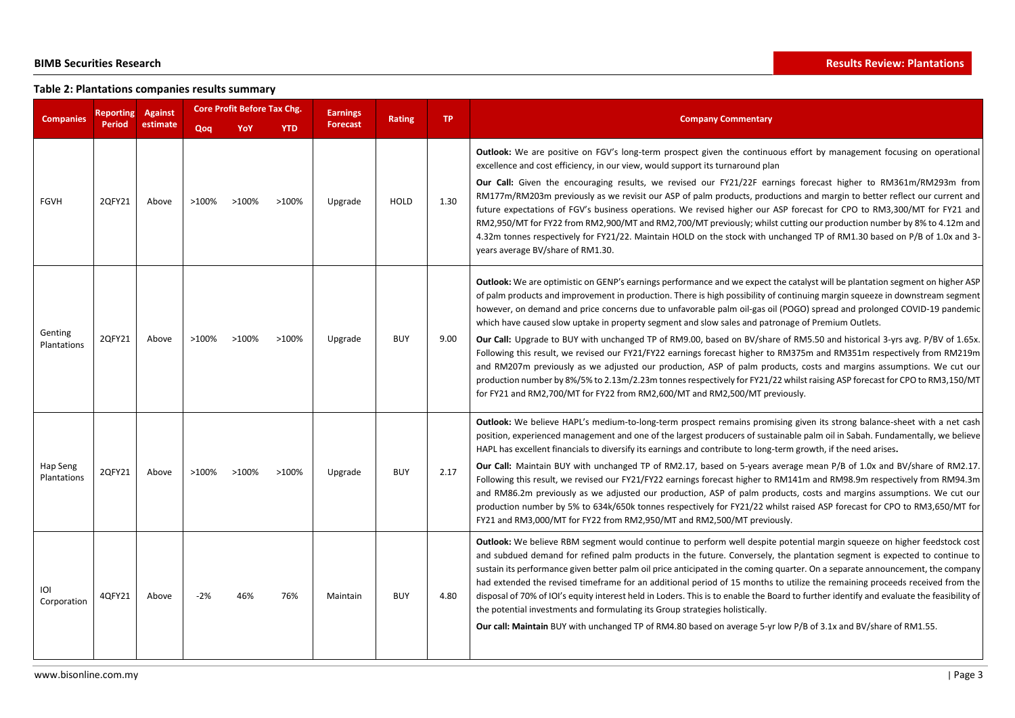# **Table 2: Plantations companies results summary**

| <b>Companies</b>        | Reporting     | <b>Against</b> | <b>Core Profit Before Tax Chg.</b> |       |            | <b>Earnings</b> | <b>Rating</b> | TP.  | <b>Company Commentary</b>                                                                                                                                                                                                                                                                                                                                                                                                                                                                                                                                                                                                                                                                                                                                                                                                                                                                                                                                                                                                                                                                    |  |
|-------------------------|---------------|----------------|------------------------------------|-------|------------|-----------------|---------------|------|----------------------------------------------------------------------------------------------------------------------------------------------------------------------------------------------------------------------------------------------------------------------------------------------------------------------------------------------------------------------------------------------------------------------------------------------------------------------------------------------------------------------------------------------------------------------------------------------------------------------------------------------------------------------------------------------------------------------------------------------------------------------------------------------------------------------------------------------------------------------------------------------------------------------------------------------------------------------------------------------------------------------------------------------------------------------------------------------|--|
|                         | <b>Period</b> | estimate       | Qoq                                | YoY   | <b>YTD</b> | <b>Forecast</b> |               |      |                                                                                                                                                                                                                                                                                                                                                                                                                                                                                                                                                                                                                                                                                                                                                                                                                                                                                                                                                                                                                                                                                              |  |
| <b>FGVH</b>             | 20FY21        | Above          | $>100\%$                           | >100% | $>100\%$   | Upgrade         | <b>HOLD</b>   | 1.30 | <b>Outlook:</b> We are positive on FGV's long-term prospect given the continuous effort by management focusing on operational<br>excellence and cost efficiency, in our view, would support its turnaround plan<br>Our Call: Given the encouraging results, we revised our FY21/22F earnings forecast higher to RM361m/RM293m from<br>RM177m/RM203m previously as we revisit our ASP of palm products, productions and margin to better reflect our current and<br>future expectations of FGV's business operations. We revised higher our ASP forecast for CPO to RM3,300/MT for FY21 and<br>RM2,950/MT for FY22 from RM2,900/MT and RM2,700/MT previously; whilst cutting our production number by 8% to 4.12m and<br>4.32m tonnes respectively for FY21/22. Maintain HOLD on the stock with unchanged TP of RM1.30 based on P/B of 1.0x and 3-<br>years average BV/share of RM1.30.                                                                                                                                                                                                       |  |
| Genting<br>Plantations  | 2QFY21        | Above          | >100%                              | >100% | >100%      | Upgrade         | <b>BUY</b>    | 9.00 | Outlook: We are optimistic on GENP's earnings performance and we expect the catalyst will be plantation segment on higher ASP<br>of palm products and improvement in production. There is high possibility of continuing margin squeeze in downstream segment<br>however, on demand and price concerns due to unfavorable palm oil-gas oil (POGO) spread and prolonged COVID-19 pandemic<br>which have caused slow uptake in property segment and slow sales and patronage of Premium Outlets.<br>Our Call: Upgrade to BUY with unchanged TP of RM9.00, based on BV/share of RM5.50 and historical 3-yrs avg. P/BV of 1.65x.<br>Following this result, we revised our FY21/FY22 earnings forecast higher to RM375m and RM351m respectively from RM219m<br>and RM207m previously as we adjusted our production, ASP of palm products, costs and margins assumptions. We cut our<br>production number by 8%/5% to 2.13m/2.23m tonnes respectively for FY21/22 whilst raising ASP forecast for CPO to RM3,150/MT<br>for FY21 and RM2,700/MT for FY22 from RM2,600/MT and RM2,500/MT previously. |  |
| Hap Seng<br>Plantations | 2QFY21        | Above          | >100%                              | >100% | >100%      | Upgrade         | <b>BUY</b>    | 2.17 | Outlook: We believe HAPL's medium-to-long-term prospect remains promising given its strong balance-sheet with a net cash<br>position, experienced management and one of the largest producers of sustainable palm oil in Sabah. Fundamentally, we believe<br>HAPL has excellent financials to diversify its earnings and contribute to long-term growth, if the need arises.<br>Our Call: Maintain BUY with unchanged TP of RM2.17, based on 5-years average mean P/B of 1.0x and BV/share of RM2.17.<br>Following this result, we revised our FY21/FY22 earnings forecast higher to RM141m and RM98.9m respectively from RM94.3m<br>and RM86.2m previously as we adjusted our production, ASP of palm products, costs and margins assumptions. We cut our<br>production number by 5% to 634k/650k tonnes respectively for FY21/22 whilst raised ASP forecast for CPO to RM3,650/MT for<br>FY21 and RM3,000/MT for FY22 from RM2,950/MT and RM2,500/MT previously.                                                                                                                           |  |
| ioi<br>Corporation      | 4QFY21        | Above          | $-2%$                              | 46%   | 76%        | Maintain        | <b>BUY</b>    | 4.80 | Outlook: We believe RBM segment would continue to perform well despite potential margin squeeze on higher feedstock cost<br>and subdued demand for refined palm products in the future. Conversely, the plantation segment is expected to continue to<br>sustain its performance given better palm oil price anticipated in the coming quarter. On a separate announcement, the company<br>had extended the revised timeframe for an additional period of 15 months to utilize the remaining proceeds received from the<br>disposal of 70% of IOI's equity interest held in Loders. This is to enable the Board to further identify and evaluate the feasibility of<br>the potential investments and formulating its Group strategies holistically.<br>Our call: Maintain BUY with unchanged TP of RM4.80 based on average 5-yr low P/B of 3.1x and BV/share of RM1.55.                                                                                                                                                                                                                      |  |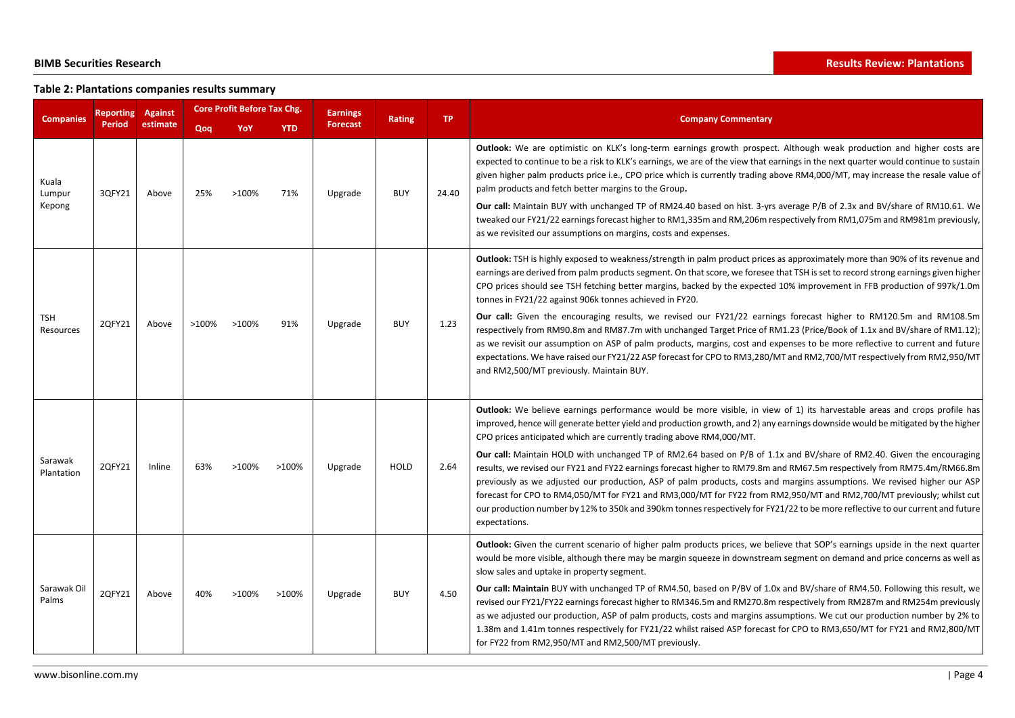# **Table 2: Plantations companies results summary**

| <b>Companies</b>          | <b>Reporting</b> | Against  | <b>Core Profit Before Tax Chg.</b> |       |            | <b>Earnings</b> | <b>Rating</b> | <b>TP</b> | <b>Company Commentary</b>                                                                                                                                                                                                                                                                                                                                                                                                                                                                                                                                                                                                                                                                                                                                                       |  |
|---------------------------|------------------|----------|------------------------------------|-------|------------|-----------------|---------------|-----------|---------------------------------------------------------------------------------------------------------------------------------------------------------------------------------------------------------------------------------------------------------------------------------------------------------------------------------------------------------------------------------------------------------------------------------------------------------------------------------------------------------------------------------------------------------------------------------------------------------------------------------------------------------------------------------------------------------------------------------------------------------------------------------|--|
|                           | <b>Period</b>    | estimate | Qoq                                | YoY   | <b>YTD</b> | <b>Forecast</b> |               |           |                                                                                                                                                                                                                                                                                                                                                                                                                                                                                                                                                                                                                                                                                                                                                                                 |  |
| Kuala<br>Lumpur<br>Kepong | 3QFY21           | Above    | 25%                                | >100% | 71%        | Upgrade         | <b>BUY</b>    | 24.40     | Outlook: We are optimistic on KLK's long-term earnings growth prospect. Although weak production and higher costs are<br>expected to continue to be a risk to KLK's earnings, we are of the view that earnings in the next quarter would continue to sustain<br>given higher palm products price i.e., CPO price which is currently trading above RM4,000/MT, may increase the resale value of<br>palm products and fetch better margins to the Group.<br>Our call: Maintain BUY with unchanged TP of RM24.40 based on hist. 3-yrs average P/B of 2.3x and BV/share of RM10.61. We<br>tweaked our FY21/22 earnings forecast higher to RM1,335m and RM,206m respectively from RM1,075m and RM981m previously,<br>as we revisited our assumptions on margins, costs and expenses. |  |
|                           |                  |          |                                    |       |            |                 |               |           | Outlook: TSH is highly exposed to weakness/strength in palm product prices as approximately more than 90% of its revenue and<br>earnings are derived from palm products segment. On that score, we foresee that TSH is set to record strong earnings given higher<br>CPO prices should see TSH fetching better margins, backed by the expected 10% improvement in FFB production of 997k/1.0m<br>tonnes in FY21/22 against 906k tonnes achieved in FY20.                                                                                                                                                                                                                                                                                                                        |  |
| TSH<br>Resources          | 2QFY21           | Above    | >100%                              | >100% | 91%        | Upgrade         | <b>BUY</b>    | 1.23      | Our call: Given the encouraging results, we revised our FY21/22 earnings forecast higher to RM120.5m and RM108.5m<br>respectively from RM90.8m and RM87.7m with unchanged Target Price of RM1.23 (Price/Book of 1.1x and BV/share of RM1.12);<br>as we revisit our assumption on ASP of palm products, margins, cost and expenses to be more reflective to current and future<br>expectations. We have raised our FY21/22 ASP forecast for CPO to RM3,280/MT and RM2,700/MT respectively from RM2,950/MT<br>and RM2,500/MT previously. Maintain BUY.                                                                                                                                                                                                                            |  |
|                           |                  |          |                                    |       |            |                 |               |           | Outlook: We believe earnings performance would be more visible, in view of 1) its harvestable areas and crops profile has<br>improved, hence will generate better yield and production growth, and 2) any earnings downside would be mitigated by the higher<br>CPO prices anticipated which are currently trading above RM4,000/MT.                                                                                                                                                                                                                                                                                                                                                                                                                                            |  |
| Sarawak<br>Plantation     | 2QFY21           | Inline   | 63%                                | >100% | >100%      | Upgrade         | <b>HOLD</b>   | 2.64      | Our call: Maintain HOLD with unchanged TP of RM2.64 based on P/B of 1.1x and BV/share of RM2.40. Given the encouraging<br>results, we revised our FY21 and FY22 earnings forecast higher to RM79.8m and RM67.5m respectively from RM75.4m/RM66.8m<br>previously as we adjusted our production, ASP of palm products, costs and margins assumptions. We revised higher our ASP<br>forecast for CPO to RM4,050/MT for FY21 and RM3,000/MT for FY22 from RM2,950/MT and RM2,700/MT previously; whilst cut<br>our production number by 12% to 350k and 390km tonnes respectively for FY21/22 to be more reflective to our current and future<br>expectations.                                                                                                                       |  |
| Sarawak Oil<br>Palms      | 2QFY21           |          |                                    |       |            |                 |               |           | <b>Outlook:</b> Given the current scenario of higher palm products prices, we believe that SOP's earnings upside in the next quarter<br>would be more visible, although there may be margin squeeze in downstream segment on demand and price concerns as well as<br>slow sales and uptake in property segment.                                                                                                                                                                                                                                                                                                                                                                                                                                                                 |  |
|                           |                  | Above    | 40%                                | >100% | >100%      | Upgrade         | <b>BUY</b>    | 4.50      | Our call: Maintain BUY with unchanged TP of RM4.50, based on P/BV of 1.0x and BV/share of RM4.50. Following this result, we<br>revised our FY21/FY22 earnings forecast higher to RM346.5m and RM270.8m respectively from RM287m and RM254m previously<br>as we adjusted our production, ASP of palm products, costs and margins assumptions. We cut our production number by 2% to<br>1.38m and 1.41m tonnes respectively for FY21/22 whilst raised ASP forecast for CPO to RM3,650/MT for FY21 and RM2,800/MT<br>for FY22 from RM2,950/MT and RM2,500/MT previously.                                                                                                                                                                                                           |  |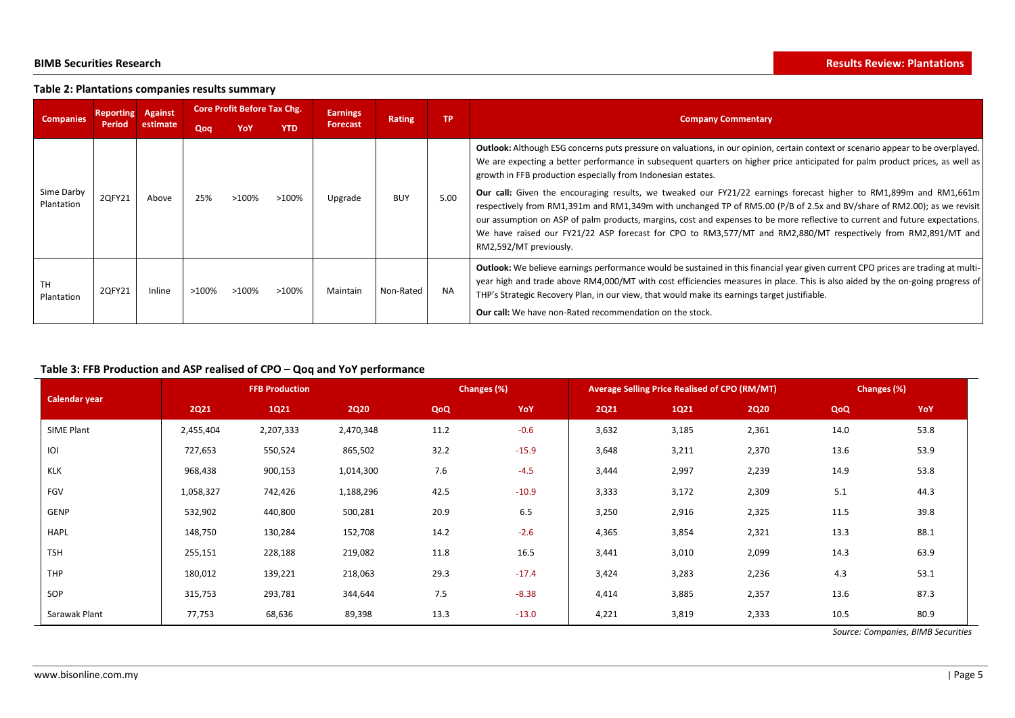### **Table 2: Plantations companies results summary**

| <b>Companies</b>         | <b>Reporting</b> | <b>Against</b> | <b>Core Profit Before Tax Chg.</b>                                        |          |          | <b>Earnings</b>           |            |           |                                                                                                                                                                                                                                                                                                                                                                                                                                                                                                                                                                                                                                                                                                                                                                                                                                                                    |  |
|--------------------------|------------------|----------------|---------------------------------------------------------------------------|----------|----------|---------------------------|------------|-----------|--------------------------------------------------------------------------------------------------------------------------------------------------------------------------------------------------------------------------------------------------------------------------------------------------------------------------------------------------------------------------------------------------------------------------------------------------------------------------------------------------------------------------------------------------------------------------------------------------------------------------------------------------------------------------------------------------------------------------------------------------------------------------------------------------------------------------------------------------------------------|--|
|                          | <b>Period</b>    | estimate       | <b>TP</b><br><b>Rating</b><br><b>Forecast</b><br><b>YTD</b><br>Qoq<br>YoY |          |          | <b>Company Commentary</b> |            |           |                                                                                                                                                                                                                                                                                                                                                                                                                                                                                                                                                                                                                                                                                                                                                                                                                                                                    |  |
| Sime Darby<br>Plantation | 2QFY21           | Above          | 25%                                                                       | >100%    | >100%    | Upgrade                   | <b>BUY</b> | 5.00      | <b>Outlook:</b> Although ESG concerns puts pressure on valuations, in our opinion, certain context or scenario appear to be overplayed.<br>We are expecting a better performance in subsequent quarters on higher price anticipated for palm product prices, as well as<br>growth in FFB production especially from Indonesian estates.<br>Our call: Given the encouraging results, we tweaked our FY21/22 earnings forecast higher to RM1,899m and RM1,661m<br>respectively from RM1,391m and RM1,349m with unchanged TP of RM5.00 (P/B of 2.5x and BV/share of RM2.00); as we revisit<br>our assumption on ASP of palm products, margins, cost and expenses to be more reflective to current and future expectations.<br>We have raised our FY21/22 ASP forecast for CPO to RM3,577/MT and RM2,880/MT respectively from RM2,891/MT and<br>RM2,592/MT previously. |  |
| <b>TH</b><br>Plantation  | 2QFY21           | Inline         | $>100\%$                                                                  | $>100\%$ | $>100\%$ | Maintain                  | Non-Rated  | <b>NA</b> | <b>Outlook:</b> We believe earnings performance would be sustained in this financial year given current CPO prices are trading at multi-<br>year high and trade above RM4,000/MT with cost efficiencies measures in place. This is also aided by the on-going progress of<br>THP's Strategic Recovery Plan, in our view, that would make its earnings target justifiable.<br><b>Our call:</b> We have non-Rated recommendation on the stock.                                                                                                                                                                                                                                                                                                                                                                                                                       |  |

# **Table 3: FFB Production and ASP realised of CPO – Qoq and YoY performance**

|                      |             | <b>FFB Production</b> |             |      | Changes (%) |             | <b>Average Selling Price Realised of CPO (RM/MT)</b> | Changes (%) |      |      |
|----------------------|-------------|-----------------------|-------------|------|-------------|-------------|------------------------------------------------------|-------------|------|------|
| <b>Calendar year</b> | <b>2Q21</b> | 1Q21                  | <b>2Q20</b> | QoQ  | YoY         | <b>2Q21</b> | 1Q21                                                 | <b>2Q20</b> | QoQ  | YoY  |
| SIME Plant           | 2,455,404   | 2,207,333             | 2,470,348   | 11.2 | $-0.6$      | 3,632       | 3,185                                                | 2,361       | 14.0 | 53.8 |
| IOI                  | 727,653     | 550,524               | 865,502     | 32.2 | $-15.9$     | 3,648       | 3,211                                                | 2,370       | 13.6 | 53.9 |
| <b>KLK</b>           | 968,438     | 900,153               | 1,014,300   | 7.6  | $-4.5$      | 3,444       | 2,997                                                | 2,239       | 14.9 | 53.8 |
| FGV                  | 1,058,327   | 742,426               | 1,188,296   | 42.5 | $-10.9$     | 3,333       | 3,172                                                | 2,309       | 5.1  | 44.3 |
| GENP                 | 532,902     | 440,800               | 500,281     | 20.9 | 6.5         | 3,250       | 2,916                                                | 2,325       | 11.5 | 39.8 |
| <b>HAPL</b>          | 148,750     | 130,284               | 152,708     | 14.2 | $-2.6$      | 4,365       | 3,854                                                | 2,321       | 13.3 | 88.1 |
| <b>TSH</b>           | 255,151     | 228,188               | 219,082     | 11.8 | 16.5        | 3,441       | 3,010                                                | 2,099       | 14.3 | 63.9 |
| THP                  | 180,012     | 139,221               | 218,063     | 29.3 | $-17.4$     | 3,424       | 3,283                                                | 2,236       | 4.3  | 53.1 |
| SOP                  | 315,753     | 293,781               | 344,644     | 7.5  | $-8.38$     | 4,414       | 3,885                                                | 2,357       | 13.6 | 87.3 |
| Sarawak Plant        | 77,753      | 68,636                | 89,398      | 13.3 | $-13.0$     | 4,221       | 3,819                                                | 2,333       | 10.5 | 80.9 |

*Source: Companies, BIMB Securities*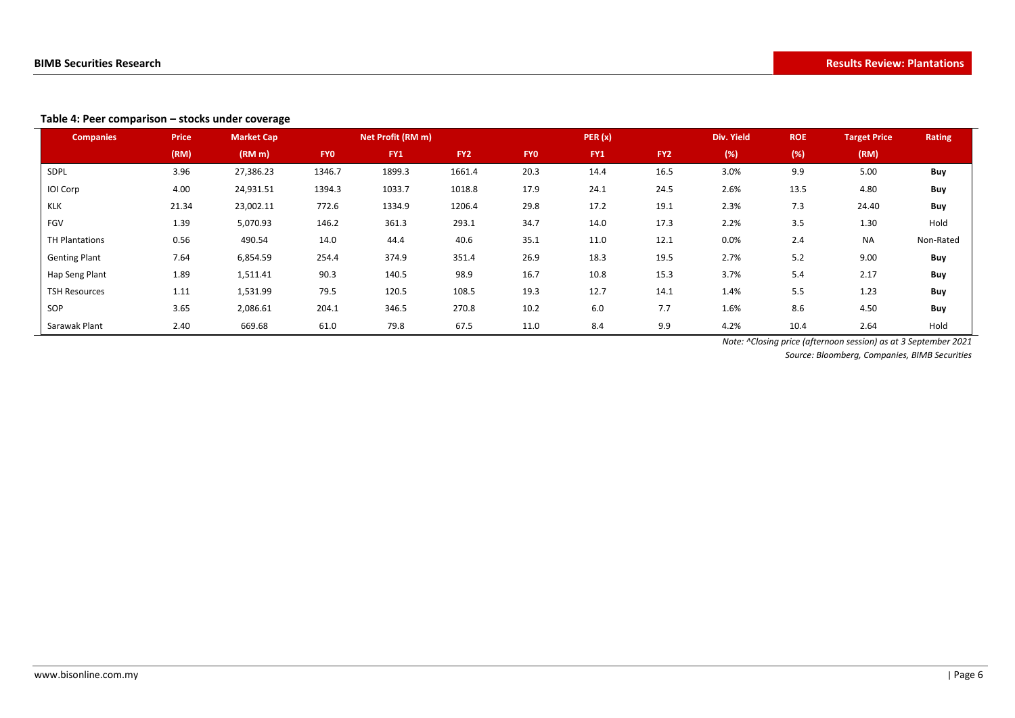### **Table 4: Peer comparison – stocks under coverage**

| <b>Companies</b>     | <b>Price</b> | <b>Market Cap</b>  |            | Net Profit (RM m) |                 |            | PER(x) |                 | <b>Div. Yield</b> | <b>ROE</b> | <b>Target Price</b> | Rating    |
|----------------------|--------------|--------------------|------------|-------------------|-----------------|------------|--------|-----------------|-------------------|------------|---------------------|-----------|
|                      | (RM)         | (RM <sub>m</sub> ) | <b>FYO</b> | FY1               | FY <sub>2</sub> | <b>FYO</b> | FY1    | FY <sub>2</sub> | (%)               | (%)        | (RM)                |           |
| SDPL                 | 3.96         | 27,386.23          | 1346.7     | 1899.3            | 1661.4          | 20.3       | 14.4   | 16.5            | 3.0%              | 9.9        | 5.00                | Buy       |
| IOI Corp             | 4.00         | 24,931.51          | 1394.3     | 1033.7            | 1018.8          | 17.9       | 24.1   | 24.5            | 2.6%              | 13.5       | 4.80                | Buy       |
| <b>KLK</b>           | 21.34        | 23,002.11          | 772.6      | 1334.9            | 1206.4          | 29.8       | 17.2   | 19.1            | 2.3%              | 7.3        | 24.40               | Buy       |
| FGV                  | 1.39         | 5,070.93           | 146.2      | 361.3             | 293.1           | 34.7       | 14.0   | 17.3            | 2.2%              | 3.5        | 1.30                | Hold      |
| TH Plantations       | 0.56         | 490.54             | 14.0       | 44.4              | 40.6            | 35.1       | 11.0   | 12.1            | $0.0\%$           | 2.4        | <b>NA</b>           | Non-Rated |
| <b>Genting Plant</b> | 7.64         | 6,854.59           | 254.4      | 374.9             | 351.4           | 26.9       | 18.3   | 19.5            | 2.7%              | 5.2        | 9.00                | Buy       |
| Hap Seng Plant       | 1.89         | 1,511.41           | 90.3       | 140.5             | 98.9            | 16.7       | 10.8   | 15.3            | 3.7%              | 5.4        | 2.17                | Buy       |
| <b>TSH Resources</b> | 1.11         | 1,531.99           | 79.5       | 120.5             | 108.5           | 19.3       | 12.7   | 14.1            | 1.4%              | 5.5        | 1.23                | Buy       |
| SOP                  | 3.65         | 2,086.61           | 204.1      | 346.5             | 270.8           | 10.2       | 6.0    | 7.7             | 1.6%              | 8.6        | 4.50                | Buy       |
| Sarawak Plant        | 2.40         | 669.68             | 61.0       | 79.8              | 67.5            | 11.0       | 8.4    | 9.9             | 4.2%              | 10.4       | 2.64                | Hold      |

*Note: ^Closing price (afternoon session) as at 3 September 2021*

*Source: Bloomberg, Companies, BIMB Securities*